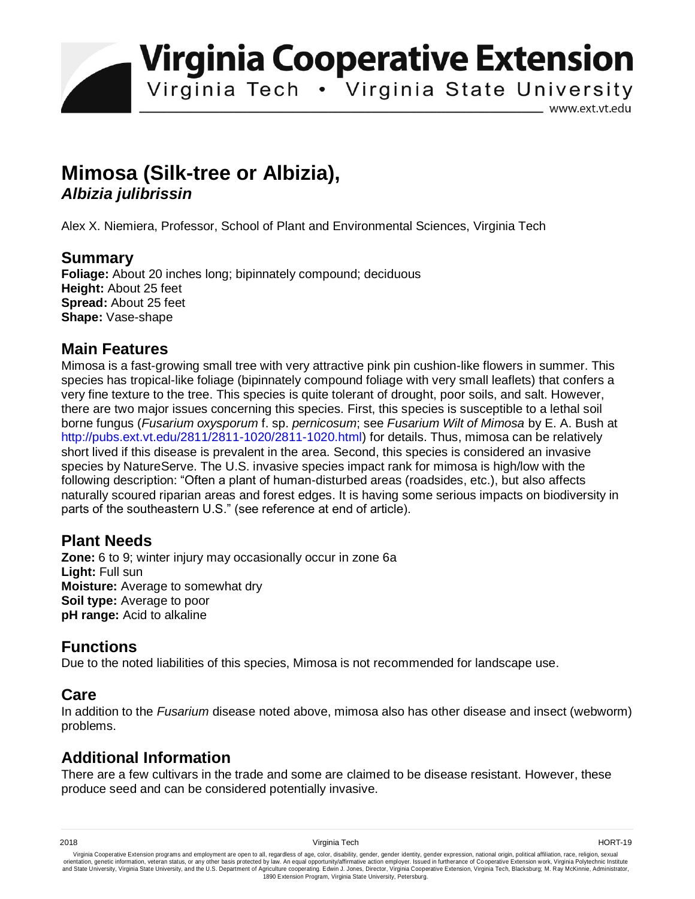**Virginia Cooperative Extension** 

Virginia Tech . Virginia State University

www.ext.vt.edu

# **Mimosa (Silk-tree or Albizia),**  *Albizia julibrissin*

Alex X. Niemiera, Professor, School of Plant and Environmental Sciences, Virginia Tech

## **Summary**

**Foliage:** About 20 inches long; bipinnately compound; deciduous **Height:** About 25 feet **Spread:** About 25 feet **Shape:** Vase-shape

## **Main Features**

Mimosa is a fast-growing small tree with very attractive pink pin cushion-like flowers in summer. This species has tropical-like foliage (bipinnately compound foliage with very small leaflets) that confers a very fine texture to the tree. This species is quite tolerant of drought, poor soils, and salt. However, there are two major issues concerning this species. First, this species is susceptible to a lethal soil borne fungus (*Fusarium oxysporum* f. sp. *pernicosum*; see *Fusarium Wilt of Mimosa* by E. A. Bush at http://pubs.ext.vt.edu/2811/2811-1020/2811-1020.html) for details. Thus, mimosa can be relatively short lived if this disease is prevalent in the area. Second, this species is considered an invasive species by NatureServe. The U.S. invasive species impact rank for mimosa is high/low with the following description: "Often a plant of human-disturbed areas (roadsides, etc.), but also affects naturally scoured riparian areas and forest edges. It is having some serious impacts on biodiversity in parts of the southeastern U.S." (see reference at end of article).

## **Plant Needs**

**Zone:** 6 to 9; winter injury may occasionally occur in zone 6a **Light:** Full sun **Moisture:** Average to somewhat dry **Soil type:** Average to poor **pH range:** Acid to alkaline

## **Functions**

Due to the noted liabilities of this species, Mimosa is not recommended for landscape use.

## **Care**

In addition to the *Fusarium* disease noted above, mimosa also has other disease and insect (webworm) problems.

# **Additional Information**

There are a few cultivars in the trade and some are claimed to be disease resistant. However, these produce seed and can be considered potentially invasive.